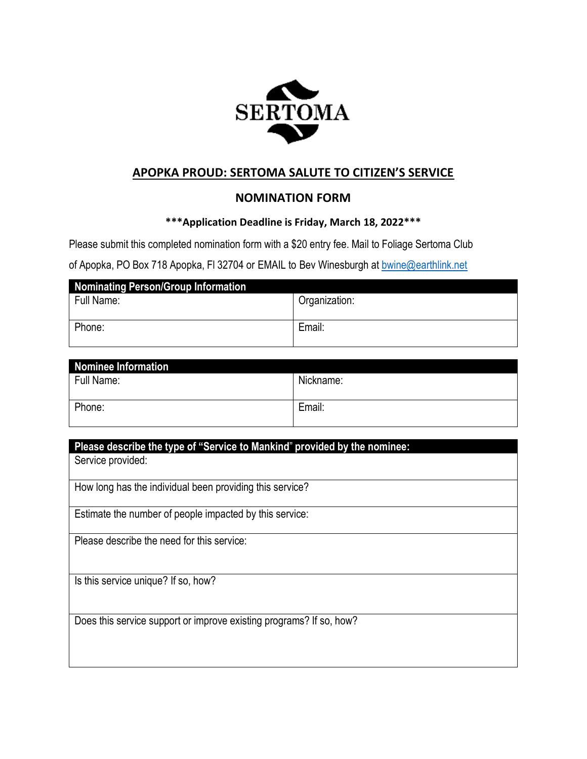

## **APOPKA PROUD: SERTOMA SALUTE TO CITIZEN'S SERVICE**

## **NOMINATION FORM**

#### **\*\*\*Application Deadline is Friday, March 18, 2022\*\*\***

Please submit this completed nomination form with a \$20 entry fee. Mail to Foliage Sertoma Club

of Apopka, PO Box 718 Apopka, FI 32704 or EMAIL to Bev Winesburgh at [bwine@earthlink.net](mailto:bwine@earthlink.net)

| <b>Nominating Person/Group Information</b> |               |
|--------------------------------------------|---------------|
| Full Name:                                 | Organization: |
|                                            |               |
| Phone:                                     | Email:        |
|                                            |               |

| Nominee Information |           |
|---------------------|-----------|
| Full Name:          | Nickname: |
|                     |           |
| Phone:              | Email:    |
|                     |           |

## **Please describe the type of "Service to Mankind**" **provided by the nominee:**

Service provided:

How long has the individual been providing this service?

Estimate the number of people impacted by this service:

Please describe the need for this service:

Is this service unique? If so, how?

Does this service support or improve existing programs? If so, how?